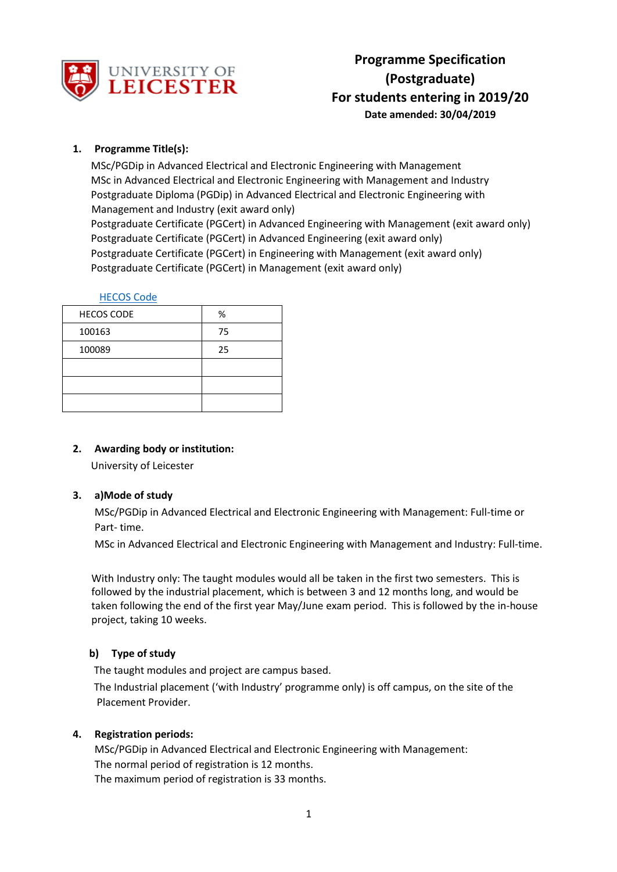

# **1. Programme Title(s):**

MSc/PGDip in Advanced Electrical and Electronic Engineering with Management MSc in Advanced Electrical and Electronic Engineering with Management and Industry Postgraduate Diploma (PGDip) in Advanced Electrical and Electronic Engineering with Management and Industry (exit award only) Postgraduate Certificate (PGCert) in Advanced Engineering with Management (exit award only) Postgraduate Certificate (PGCert) in Advanced Engineering (exit award only) Postgraduate Certificate (PGCert) in Engineering with Management (exit award only) Postgraduate Certificate (PGCert) in Management (exit award only)

#### [HECOS Code](https://www.hesa.ac.uk/innovation/hecos)

| <b>HECOS CODE</b> | %  |
|-------------------|----|
| 100163            | 75 |
| 100089            | 25 |
|                   |    |
|                   |    |
|                   |    |

# **2. Awarding body or institution:**

University of Leicester

#### **3. a)Mode of study**

MSc/PGDip in Advanced Electrical and Electronic Engineering with Management: Full-time or Part- time.

MSc in Advanced Electrical and Electronic Engineering with Management and Industry: Full-time.

With Industry only: The taught modules would all be taken in the first two semesters. This is followed by the industrial placement, which is between 3 and 12 months long, and would be taken following the end of the first year May/June exam period. This is followed by the in-house project, taking 10 weeks.

# **b) Type of study**

The taught modules and project are campus based.

The Industrial placement ('with Industry' programme only) is off campus, on the site of the Placement Provider.

#### **4. Registration periods:**

MSc/PGDip in Advanced Electrical and Electronic Engineering with Management: The normal period of registration is 12 months. The maximum period of registration is 33 months.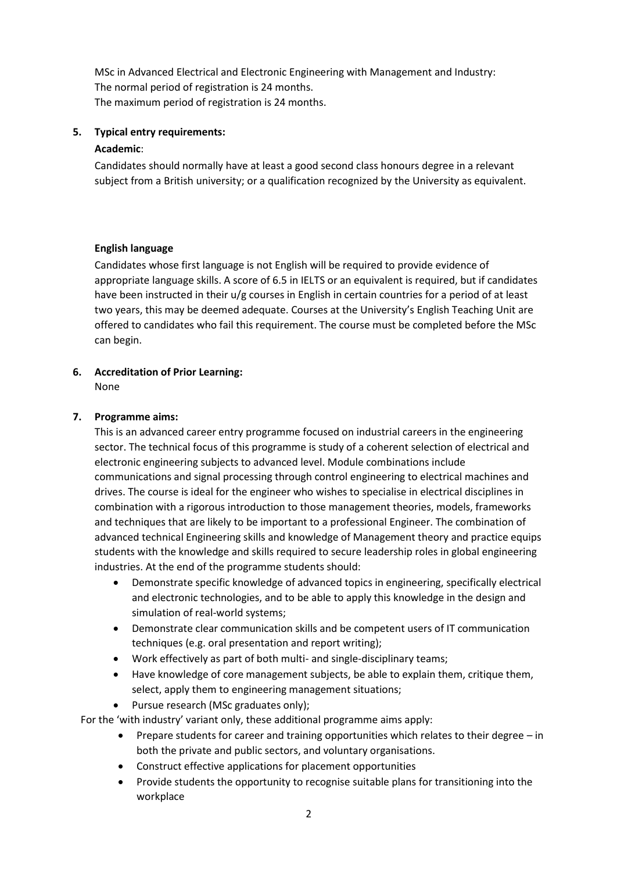MSc in Advanced Electrical and Electronic Engineering with Management and Industry: The normal period of registration is 24 months. The maximum period of registration is 24 months.

#### **5. Typical entry requirements:**

### **Academic**:

Candidates should normally have at least a good second class honours degree in a relevant subject from a British university; or a qualification recognized by the University as equivalent.

#### **English language**

Candidates whose first language is not English will be required to provide evidence of appropriate language skills. A score of 6.5 in IELTS or an equivalent is required, but if candidates have been instructed in their u/g courses in English in certain countries for a period of at least two years, this may be deemed adequate. Courses at the University's English Teaching Unit are offered to candidates who fail this requirement. The course must be completed before the MSc can begin.

# **6. Accreditation of Prior Learning:**

None

# **7. Programme aims:**

This is an advanced career entry programme focused on industrial careers in the engineering sector. The technical focus of this programme is study of a coherent selection of electrical and electronic engineering subjects to advanced level. Module combinations include communications and signal processing through control engineering to electrical machines and drives. The course is ideal for the engineer who wishes to specialise in electrical disciplines in combination with a rigorous introduction to those management theories, models, frameworks and techniques that are likely to be important to a professional Engineer. The combination of advanced technical Engineering skills and knowledge of Management theory and practice equips students with the knowledge and skills required to secure leadership roles in global engineering industries. At the end of the programme students should:

- Demonstrate specific knowledge of advanced topics in engineering, specifically electrical and electronic technologies, and to be able to apply this knowledge in the design and simulation of real-world systems;
- Demonstrate clear communication skills and be competent users of IT communication techniques (e.g. oral presentation and report writing);
- Work effectively as part of both multi- and single-disciplinary teams;
- Have knowledge of core management subjects, be able to explain them, critique them, select, apply them to engineering management situations;
- Pursue research (MSc graduates only);

For the 'with industry' variant only, these additional programme aims apply:

- **•** Prepare students for career and training opportunities which relates to their degree  $-$  in both the private and public sectors, and voluntary organisations.
- Construct effective applications for placement opportunities
- Provide students the opportunity to recognise suitable plans for transitioning into the workplace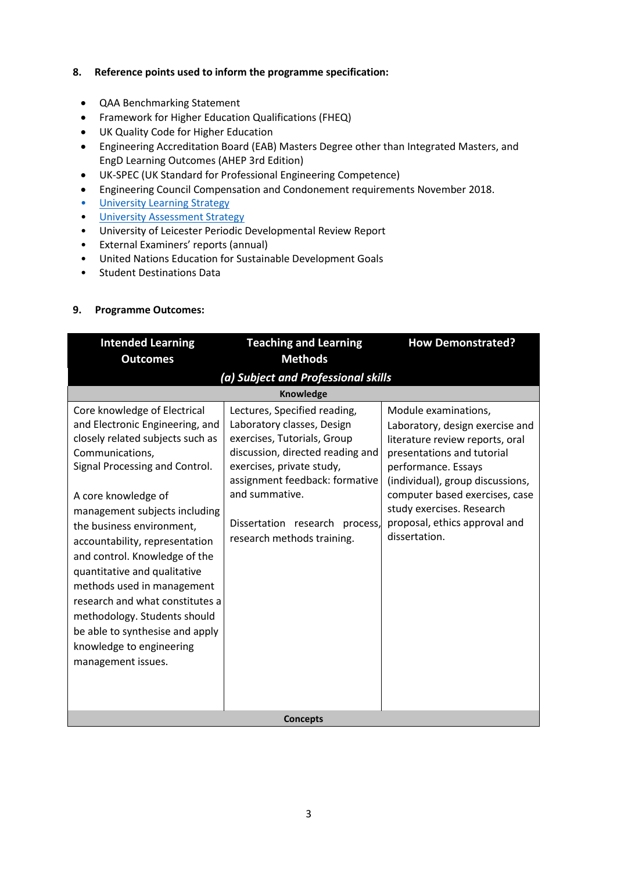#### **8. Reference points used to inform the programme specification:**

- QAA Benchmarking Statement
- Framework for Higher Education Qualifications (FHEQ)
- UK Quality Code for Higher Education
- Engineering Accreditation Board (EAB) Masters Degree other than Integrated Masters, and EngD Learning Outcomes (AHEP 3rd Edition)
- UK-SPEC (UK Standard for Professional Engineering Competence)
- Engineering Council Compensation and Condonement requirements November 2018.
- University Learnin[g Strategy](https://www2.le.ac.uk/offices/sas2/quality/learnteach)
- [University Assessment Strategy](https://www2.le.ac.uk/offices/sas2/quality/learnteach)
- University of Leicester Periodic Developmental Review Report
- External Examiners' reports (annual)
- United Nations Education for Sustainable Development Goals
- Student Destinations Data

#### **9. Programme Outcomes:**

| <b>Intended Learning</b>                                                                                                                                                                                                                                                                                                                                                                                                                                                                                                               | <b>Teaching and Learning</b>                                                                                                                                                                                                                                                   | <b>How Demonstrated?</b>                                                                                                                                                                                                                                                                             |  |  |  |  |
|----------------------------------------------------------------------------------------------------------------------------------------------------------------------------------------------------------------------------------------------------------------------------------------------------------------------------------------------------------------------------------------------------------------------------------------------------------------------------------------------------------------------------------------|--------------------------------------------------------------------------------------------------------------------------------------------------------------------------------------------------------------------------------------------------------------------------------|------------------------------------------------------------------------------------------------------------------------------------------------------------------------------------------------------------------------------------------------------------------------------------------------------|--|--|--|--|
| <b>Outcomes</b>                                                                                                                                                                                                                                                                                                                                                                                                                                                                                                                        | <b>Methods</b>                                                                                                                                                                                                                                                                 |                                                                                                                                                                                                                                                                                                      |  |  |  |  |
| (a) Subject and Professional skills                                                                                                                                                                                                                                                                                                                                                                                                                                                                                                    |                                                                                                                                                                                                                                                                                |                                                                                                                                                                                                                                                                                                      |  |  |  |  |
|                                                                                                                                                                                                                                                                                                                                                                                                                                                                                                                                        | <b>Knowledge</b>                                                                                                                                                                                                                                                               |                                                                                                                                                                                                                                                                                                      |  |  |  |  |
| Core knowledge of Electrical<br>and Electronic Engineering, and<br>closely related subjects such as<br>Communications,<br>Signal Processing and Control.<br>A core knowledge of<br>management subjects including<br>the business environment,<br>accountability, representation<br>and control. Knowledge of the<br>quantitative and qualitative<br>methods used in management<br>research and what constitutes a<br>methodology. Students should<br>be able to synthesise and apply<br>knowledge to engineering<br>management issues. | Lectures, Specified reading,<br>Laboratory classes, Design<br>exercises, Tutorials, Group<br>discussion, directed reading and<br>exercises, private study,<br>assignment feedback: formative<br>and summative.<br>Dissertation research process,<br>research methods training. | Module examinations,<br>Laboratory, design exercise and<br>literature review reports, oral<br>presentations and tutorial<br>performance. Essays<br>(individual), group discussions,<br>computer based exercises, case<br>study exercises. Research<br>proposal, ethics approval and<br>dissertation. |  |  |  |  |
| <b>Concepts</b>                                                                                                                                                                                                                                                                                                                                                                                                                                                                                                                        |                                                                                                                                                                                                                                                                                |                                                                                                                                                                                                                                                                                                      |  |  |  |  |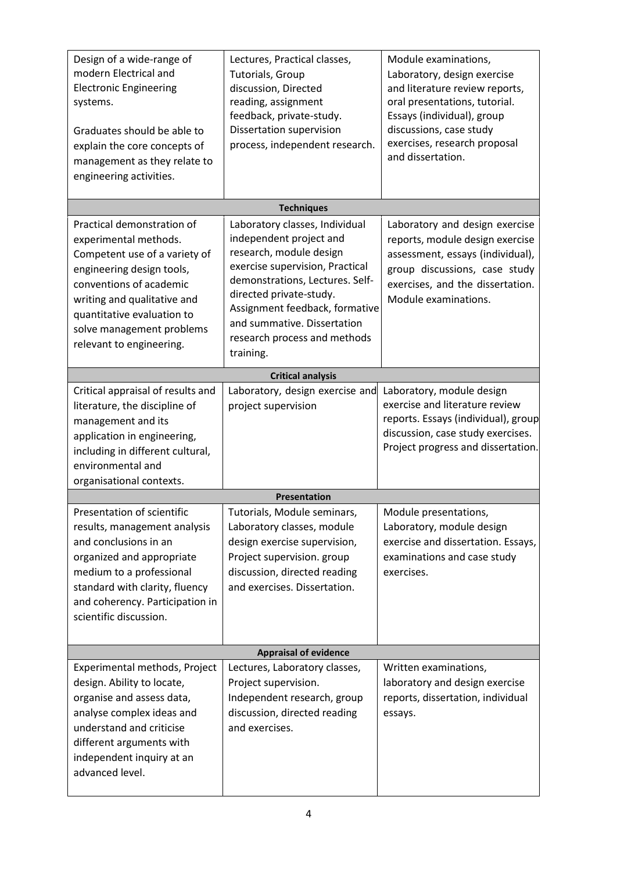| Design of a wide-range of<br>modern Electrical and<br><b>Electronic Engineering</b><br>systems.<br>Graduates should be able to<br>explain the core concepts of<br>management as they relate to<br>engineering activities.                                          | Lectures, Practical classes,<br>Tutorials, Group<br>discussion, Directed<br>reading, assignment<br>feedback, private-study.<br>Dissertation supervision<br>process, independent research.                                                                                                           | Module examinations,<br>Laboratory, design exercise<br>and literature review reports,<br>oral presentations, tutorial.<br>Essays (individual), group<br>discussions, case study<br>exercises, research proposal<br>and dissertation. |
|--------------------------------------------------------------------------------------------------------------------------------------------------------------------------------------------------------------------------------------------------------------------|-----------------------------------------------------------------------------------------------------------------------------------------------------------------------------------------------------------------------------------------------------------------------------------------------------|--------------------------------------------------------------------------------------------------------------------------------------------------------------------------------------------------------------------------------------|
|                                                                                                                                                                                                                                                                    | <b>Techniques</b>                                                                                                                                                                                                                                                                                   |                                                                                                                                                                                                                                      |
| Practical demonstration of<br>experimental methods.<br>Competent use of a variety of<br>engineering design tools,<br>conventions of academic<br>writing and qualitative and<br>quantitative evaluation to<br>solve management problems<br>relevant to engineering. | Laboratory classes, Individual<br>independent project and<br>research, module design<br>exercise supervision, Practical<br>demonstrations, Lectures. Self-<br>directed private-study.<br>Assignment feedback, formative<br>and summative. Dissertation<br>research process and methods<br>training. | Laboratory and design exercise<br>reports, module design exercise<br>assessment, essays (individual),<br>group discussions, case study<br>exercises, and the dissertation.<br>Module examinations.                                   |
|                                                                                                                                                                                                                                                                    | <b>Critical analysis</b>                                                                                                                                                                                                                                                                            |                                                                                                                                                                                                                                      |
| Critical appraisal of results and<br>literature, the discipline of<br>management and its<br>application in engineering,<br>including in different cultural,<br>environmental and<br>organisational contexts.                                                       | Laboratory, design exercise and<br>project supervision                                                                                                                                                                                                                                              | Laboratory, module design<br>exercise and literature review<br>reports. Essays (individual), group<br>discussion, case study exercises.<br>Project progress and dissertation.                                                        |
|                                                                                                                                                                                                                                                                    | <b>Presentation</b>                                                                                                                                                                                                                                                                                 |                                                                                                                                                                                                                                      |
| Presentation of scientific<br>results, management analysis<br>and conclusions in an<br>organized and appropriate<br>medium to a professional<br>standard with clarity, fluency<br>and coherency. Participation in<br>scientific discussion.                        | Tutorials, Module seminars,<br>Laboratory classes, module<br>design exercise supervision,<br>Project supervision. group<br>discussion, directed reading<br>and exercises. Dissertation.                                                                                                             | Module presentations,<br>Laboratory, module design<br>exercise and dissertation. Essays,<br>examinations and case study<br>exercises.                                                                                                |
|                                                                                                                                                                                                                                                                    | <b>Appraisal of evidence</b>                                                                                                                                                                                                                                                                        |                                                                                                                                                                                                                                      |
| Experimental methods, Project<br>design. Ability to locate,<br>organise and assess data,<br>analyse complex ideas and<br>understand and criticise<br>different arguments with<br>independent inquiry at an<br>advanced level.                                      | Lectures, Laboratory classes,<br>Project supervision.<br>Independent research, group<br>discussion, directed reading<br>and exercises.                                                                                                                                                              | Written examinations,<br>laboratory and design exercise<br>reports, dissertation, individual<br>essays.                                                                                                                              |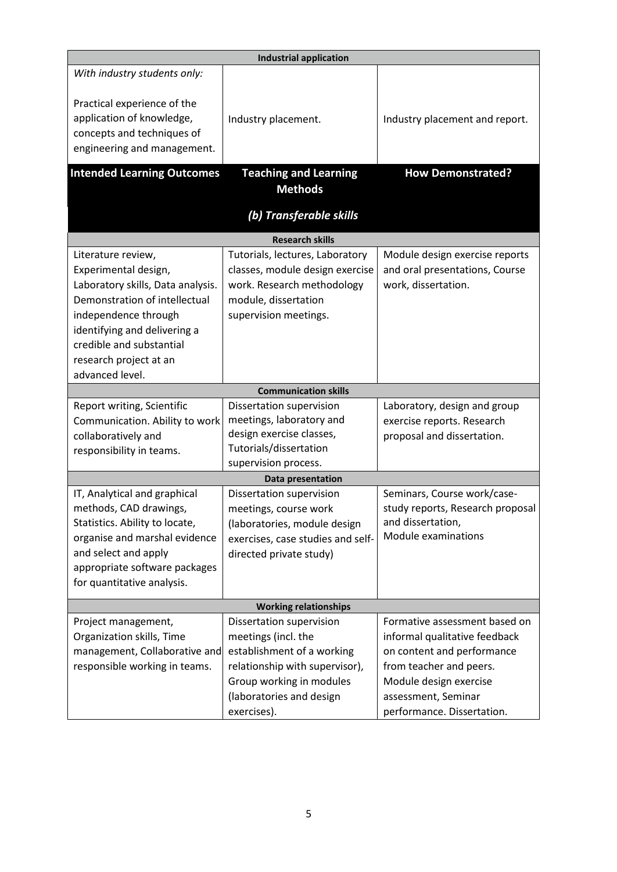| <b>Industrial application</b>                                                                                         |                                                      |                                               |  |  |
|-----------------------------------------------------------------------------------------------------------------------|------------------------------------------------------|-----------------------------------------------|--|--|
| With industry students only:                                                                                          |                                                      |                                               |  |  |
| Practical experience of the<br>application of knowledge,<br>concepts and techniques of<br>engineering and management. | Industry placement.                                  | Industry placement and report.                |  |  |
| <b>Intended Learning Outcomes</b>                                                                                     | <b>Teaching and Learning</b>                         | <b>How Demonstrated?</b>                      |  |  |
|                                                                                                                       | <b>Methods</b>                                       |                                               |  |  |
|                                                                                                                       | (b) Transferable skills                              |                                               |  |  |
|                                                                                                                       | <b>Research skills</b>                               |                                               |  |  |
| Literature review,                                                                                                    | Tutorials, lectures, Laboratory                      | Module design exercise reports                |  |  |
| Experimental design,                                                                                                  | classes, module design exercise                      | and oral presentations, Course                |  |  |
| Laboratory skills, Data analysis.                                                                                     | work. Research methodology                           | work, dissertation.                           |  |  |
| Demonstration of intellectual                                                                                         | module, dissertation                                 |                                               |  |  |
| independence through                                                                                                  | supervision meetings.                                |                                               |  |  |
| identifying and delivering a                                                                                          |                                                      |                                               |  |  |
| credible and substantial                                                                                              |                                                      |                                               |  |  |
| research project at an                                                                                                |                                                      |                                               |  |  |
| advanced level.                                                                                                       |                                                      |                                               |  |  |
|                                                                                                                       | <b>Communication skills</b>                          |                                               |  |  |
| Report writing, Scientific                                                                                            | Dissertation supervision                             | Laboratory, design and group                  |  |  |
| Communication. Ability to work                                                                                        | meetings, laboratory and                             | exercise reports. Research                    |  |  |
| collaboratively and                                                                                                   | design exercise classes,                             | proposal and dissertation.                    |  |  |
| responsibility in teams.                                                                                              | Tutorials/dissertation<br>supervision process.       |                                               |  |  |
|                                                                                                                       | Data presentation                                    |                                               |  |  |
| IT, Analytical and graphical                                                                                          | Dissertation supervision                             | Seminars, Course work/case-                   |  |  |
| methods, CAD drawings,                                                                                                | meetings, course work                                | study reports, Research proposal              |  |  |
| Statistics. Ability to locate,                                                                                        | (laboratories, module design                         | and dissertation,                             |  |  |
| organise and marshal evidence                                                                                         | exercises, case studies and self-                    | Module examinations                           |  |  |
| and select and apply                                                                                                  | directed private study)                              |                                               |  |  |
| appropriate software packages                                                                                         |                                                      |                                               |  |  |
| for quantitative analysis.                                                                                            |                                                      |                                               |  |  |
|                                                                                                                       |                                                      |                                               |  |  |
|                                                                                                                       |                                                      |                                               |  |  |
|                                                                                                                       | <b>Working relationships</b>                         |                                               |  |  |
| Project management,                                                                                                   | Dissertation supervision                             | Formative assessment based on                 |  |  |
| Organization skills, Time                                                                                             | meetings (incl. the                                  | informal qualitative feedback                 |  |  |
| management, Collaborative and                                                                                         | establishment of a working                           | on content and performance                    |  |  |
| responsible working in teams.                                                                                         | relationship with supervisor),                       | from teacher and peers.                       |  |  |
|                                                                                                                       | Group working in modules<br>(laboratories and design | Module design exercise<br>assessment, Seminar |  |  |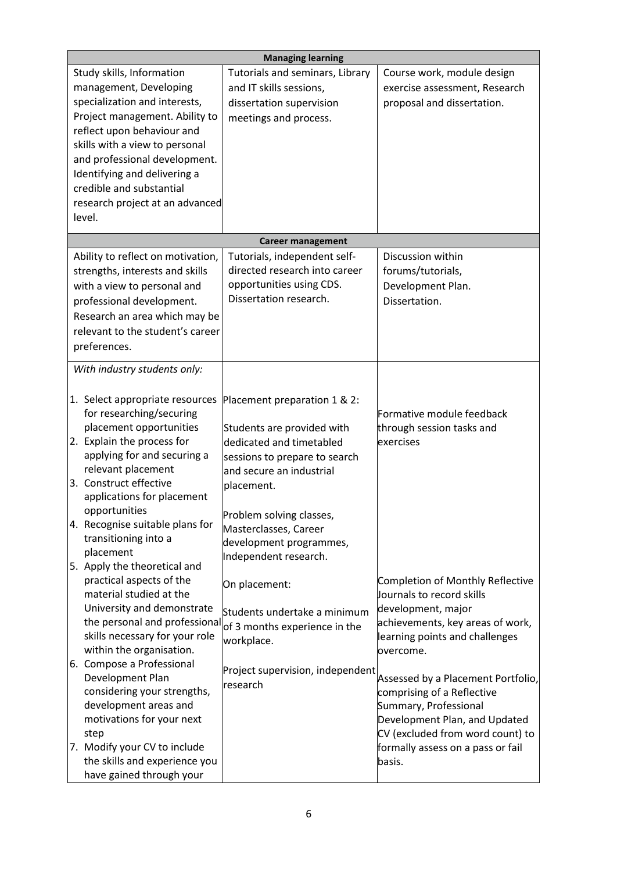|                               |                                   | <b>Managing learning</b>                                    |                                    |  |
|-------------------------------|-----------------------------------|-------------------------------------------------------------|------------------------------------|--|
|                               | Study skills, Information         | Tutorials and seminars, Library                             | Course work, module design         |  |
|                               | management, Developing            | and IT skills sessions,                                     | exercise assessment, Research      |  |
| specialization and interests, |                                   | dissertation supervision                                    | proposal and dissertation.         |  |
|                               | Project management. Ability to    | meetings and process.                                       |                                    |  |
|                               | reflect upon behaviour and        |                                                             |                                    |  |
|                               | skills with a view to personal    |                                                             |                                    |  |
|                               | and professional development.     |                                                             |                                    |  |
|                               | Identifying and delivering a      |                                                             |                                    |  |
|                               | credible and substantial          |                                                             |                                    |  |
|                               | research project at an advanced   |                                                             |                                    |  |
|                               | level.                            |                                                             |                                    |  |
|                               |                                   | <b>Career management</b>                                    |                                    |  |
|                               | Ability to reflect on motivation, | Tutorials, independent self-                                | Discussion within                  |  |
|                               | strengths, interests and skills   | directed research into career                               | forums/tutorials,                  |  |
|                               |                                   | opportunities using CDS.                                    | Development Plan.                  |  |
|                               | with a view to personal and       | Dissertation research.                                      |                                    |  |
|                               | professional development.         |                                                             | Dissertation.                      |  |
|                               | Research an area which may be     |                                                             |                                    |  |
|                               | relevant to the student's career  |                                                             |                                    |  |
|                               | preferences.                      |                                                             |                                    |  |
|                               | With industry students only:      |                                                             |                                    |  |
|                               |                                   |                                                             |                                    |  |
|                               | 1. Select appropriate resources   | Placement preparation 1 & 2:                                |                                    |  |
|                               | for researching/securing          |                                                             | Formative module feedback          |  |
|                               | placement opportunities           | Students are provided with                                  | through session tasks and          |  |
|                               | 2. Explain the process for        | dedicated and timetabled                                    | exercises                          |  |
|                               | applying for and securing a       | sessions to prepare to search                               |                                    |  |
|                               | relevant placement                | and secure an industrial                                    |                                    |  |
|                               | 3. Construct effective            | placement.                                                  |                                    |  |
|                               | applications for placement        |                                                             |                                    |  |
|                               | opportunities                     | Problem solving classes,                                    |                                    |  |
|                               | 4. Recognise suitable plans for   | Masterclasses, Career                                       |                                    |  |
|                               | transitioning into a              | development programmes,                                     |                                    |  |
|                               | placement                         | Independent research.                                       |                                    |  |
|                               | 5. Apply the theoretical and      |                                                             |                                    |  |
|                               | practical aspects of the          | On placement:                                               | Completion of Monthly Reflective   |  |
|                               | material studied at the           |                                                             | Journals to record skills          |  |
|                               | University and demonstrate        | Students undertake a minimum                                | development, major                 |  |
|                               | skills necessary for your role    | the personal and professional of 3 months experience in the | achievements, key areas of work,   |  |
|                               | within the organisation.          | workplace.                                                  | learning points and challenges     |  |
|                               | 6. Compose a Professional         |                                                             | overcome.                          |  |
|                               | Development Plan                  | Project supervision, independent                            | Assessed by a Placement Portfolio, |  |
|                               | considering your strengths,       | research                                                    | comprising of a Reflective         |  |
|                               | development areas and             |                                                             | Summary, Professional              |  |
|                               | motivations for your next         |                                                             | Development Plan, and Updated      |  |
|                               | step                              |                                                             | CV (excluded from word count) to   |  |
|                               | 7. Modify your CV to include      |                                                             | formally assess on a pass or fail  |  |
|                               | the skills and experience you     |                                                             | basis.                             |  |
|                               | have gained through your          |                                                             |                                    |  |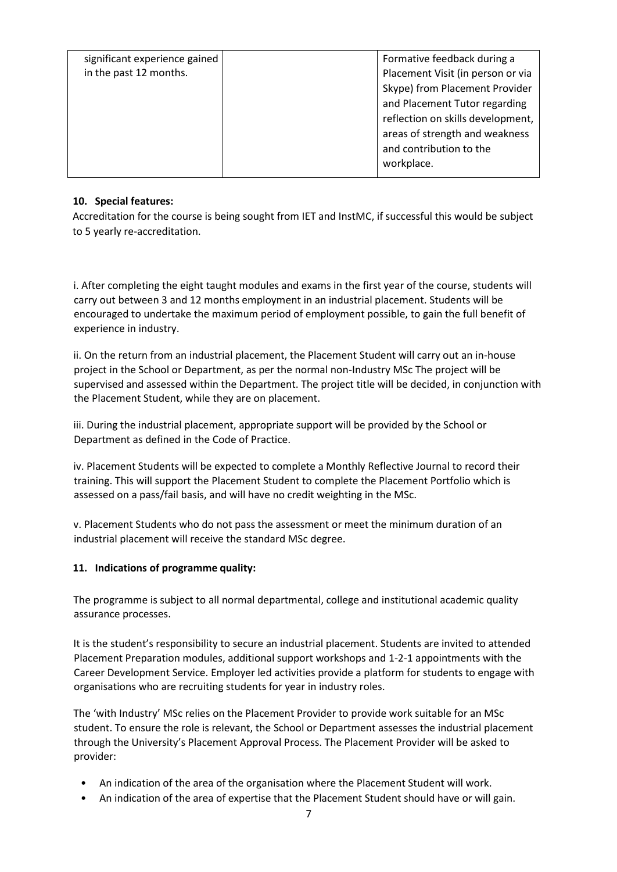| significant experience gained | Formative feedback during a       |
|-------------------------------|-----------------------------------|
| in the past 12 months.        | Placement Visit (in person or via |
|                               | Skype) from Placement Provider    |
|                               | and Placement Tutor regarding     |
|                               | reflection on skills development, |
|                               | areas of strength and weakness    |
|                               | and contribution to the           |
|                               | workplace.                        |
|                               |                                   |

# **10. Special features:**

Accreditation for the course is being sought from IET and InstMC, if successful this would be subject to 5 yearly re-accreditation.

i. After completing the eight taught modules and exams in the first year of the course, students will carry out between 3 and 12 months employment in an industrial placement. Students will be encouraged to undertake the maximum period of employment possible, to gain the full benefit of experience in industry.

ii. On the return from an industrial placement, the Placement Student will carry out an in-house project in the School or Department, as per the normal non-Industry MSc The project will be supervised and assessed within the Department. The project title will be decided, in conjunction with the Placement Student, while they are on placement.

iii. During the industrial placement, appropriate support will be provided by the School or Department as defined in the Code of Practice.

iv. Placement Students will be expected to complete a Monthly Reflective Journal to record their training. This will support the Placement Student to complete the Placement Portfolio which is assessed on a pass/fail basis, and will have no credit weighting in the MSc.

v. Placement Students who do not pass the assessment or meet the minimum duration of an industrial placement will receive the standard MSc degree.

# **11. Indications of programme quality:**

The programme is subject to all normal departmental, college and institutional academic quality assurance processes.

It is the student's responsibility to secure an industrial placement. Students are invited to attended Placement Preparation modules, additional support workshops and 1-2-1 appointments with the Career Development Service. Employer led activities provide a platform for students to engage with organisations who are recruiting students for year in industry roles.

The 'with Industry' MSc relies on the Placement Provider to provide work suitable for an MSc student. To ensure the role is relevant, the School or Department assesses the industrial placement through the University's Placement Approval Process. The Placement Provider will be asked to provider:

- An indication of the area of the organisation where the Placement Student will work.
- An indication of the area of expertise that the Placement Student should have or will gain.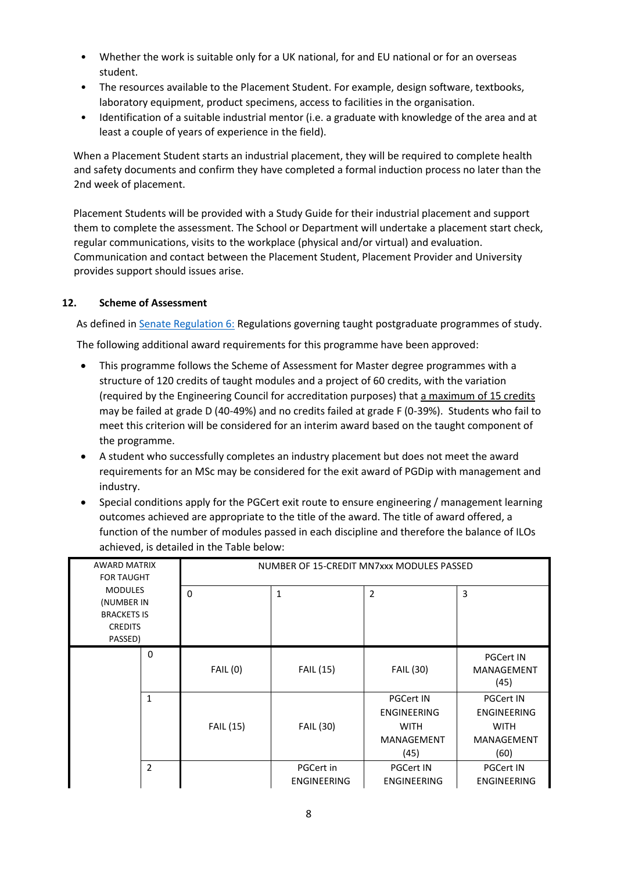- Whether the work is suitable only for a UK national, for and EU national or for an overseas student.
- The resources available to the Placement Student. For example, design software, textbooks, laboratory equipment, product specimens, access to facilities in the organisation.
- Identification of a suitable industrial mentor (i.e. a graduate with knowledge of the area and at least a couple of years of experience in the field).

When a Placement Student starts an industrial placement, they will be required to complete health and safety documents and confirm they have completed a formal induction process no later than the 2nd week of placement.

Placement Students will be provided with a Study Guide for their industrial placement and support them to complete the assessment. The School or Department will undertake a placement start check, regular communications, visits to the workplace (physical and/or virtual) and evaluation. Communication and contact between the Placement Student, Placement Provider and University provides support should issues arise.

# **12. Scheme of Assessment**

As defined i[n Senate Regulation 6:](http://www.le.ac.uk/senate-regulation6) Regulations governing taught postgraduate programmes of study. The following additional award requirements for this programme have been approved:

- This programme follows the Scheme of Assessment for Master degree programmes with a structure of 120 credits of taught modules and a project of 60 credits, with the variation (required by the Engineering Council for accreditation purposes) that a maximum of 15 credits may be failed at grade D (40-49%) and no credits failed at grade F (0-39%). Students who fail to meet this criterion will be considered for an interim award based on the taught component of the programme.
- A student who successfully completes an industry placement but does not meet the award requirements for an MSc may be considered for the exit award of PGDip with management and industry.
- Special conditions apply for the PGCert exit route to ensure engineering / management learning outcomes achieved are appropriate to the title of the award. The title of award offered, a function of the number of modules passed in each discipline and therefore the balance of ILOs achieved, is detailed in the Table below:

| AWARD MATRIX<br><b>FOR TAUGHT</b>                                               |                | NUMBER OF 15-CREDIT MN7xxx MODULES PASSED |                                 |                                                                             |                                                                                    |
|---------------------------------------------------------------------------------|----------------|-------------------------------------------|---------------------------------|-----------------------------------------------------------------------------|------------------------------------------------------------------------------------|
| <b>MODULES</b><br>(NUMBER IN<br><b>BRACKETS IS</b><br><b>CREDITS</b><br>PASSED) |                | $\Omega$                                  | $\mathbf 1$                     | $\overline{2}$                                                              | 3                                                                                  |
|                                                                                 | 0              | <b>FAIL (0)</b>                           | <b>FAIL (15)</b>                | <b>FAIL (30)</b>                                                            | <b>PGCert IN</b><br><b>MANAGEMENT</b><br>(45)                                      |
|                                                                                 | $\mathbf{1}$   | <b>FAIL (15)</b>                          | <b>FAIL (30)</b>                | <b>PGCert IN</b><br><b>ENGINEERING</b><br><b>WITH</b><br>MANAGEMENT<br>(45) | <b>PGCert IN</b><br><b>ENGINEERING</b><br><b>WITH</b><br><b>MANAGEMENT</b><br>(60) |
|                                                                                 | $\overline{2}$ |                                           | PGCert in<br><b>ENGINEERING</b> | <b>PGCert IN</b><br><b>ENGINEERING</b>                                      | <b>PGCert IN</b><br><b>ENGINEERING</b>                                             |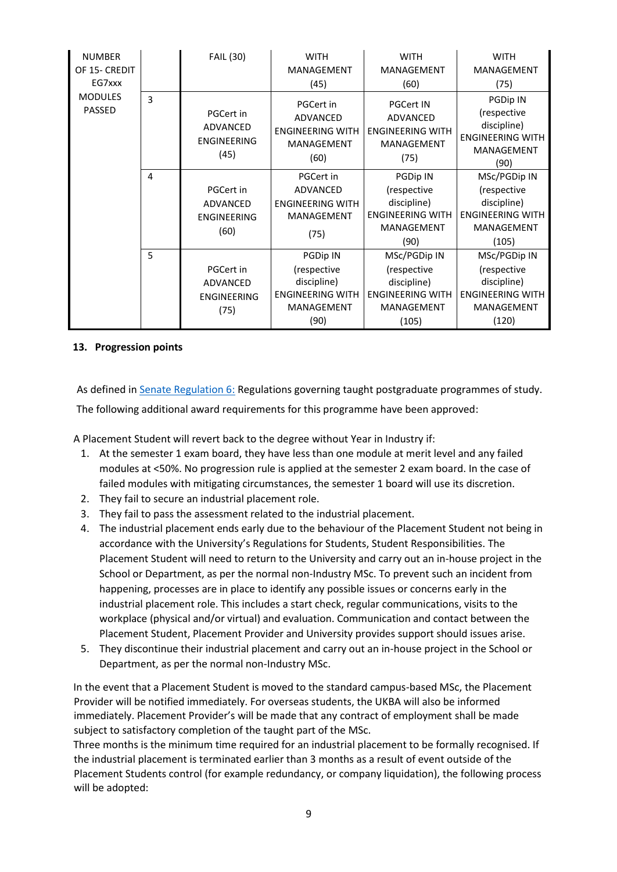| <b>NUMBER</b><br>OF 15- CREDIT  |   | <b>FAIL (30)</b>                                    | <b>WITH</b><br>MANAGEMENT                                                     | <b>WITH</b><br><b>MANAGEMENT</b>                                                     | <b>WITH</b><br><b>MANAGEMENT</b>                                                        |
|---------------------------------|---|-----------------------------------------------------|-------------------------------------------------------------------------------|--------------------------------------------------------------------------------------|-----------------------------------------------------------------------------------------|
| EG7xxx                          |   |                                                     | (45)                                                                          | (60)                                                                                 | (75)                                                                                    |
| <b>MODULES</b><br><b>PASSED</b> | 3 | PGCert in<br>ADVANCED<br><b>ENGINEERING</b><br>(45) | PGCert in<br><b>ADVANCED</b><br><b>ENGINEERING WITH</b><br>MANAGEMENT<br>(60) | <b>PGCert IN</b><br><b>ADVANCED</b><br><b>ENGINEERING WITH</b><br>MANAGEMENT<br>(75) | PGDip IN<br>(respective<br>discipline)<br><b>ENGINEERING WITH</b><br>MANAGEMENT<br>(90) |
|                                 | 4 |                                                     | PGCert in                                                                     | PGDip IN                                                                             | MSc/PGDip IN                                                                            |
|                                 |   | PGCert in                                           | <b>ADVANCED</b>                                                               | (respective                                                                          | (respective                                                                             |
|                                 |   | ADVANCED                                            | <b>ENGINEERING WITH</b>                                                       | discipline)                                                                          | discipline)                                                                             |
|                                 |   | <b>ENGINEERING</b>                                  | MANAGEMENT                                                                    | <b>ENGINEERING WITH</b>                                                              | <b>ENGINEERING WITH</b>                                                                 |
|                                 |   | (60)                                                | (75)                                                                          | <b>MANAGEMENT</b>                                                                    | MANAGEMENT                                                                              |
|                                 |   |                                                     |                                                                               | (90)                                                                                 | (105)                                                                                   |
|                                 | 5 |                                                     | PGDip IN                                                                      | MSc/PGDip IN                                                                         | MSc/PGDip IN                                                                            |
|                                 |   | PGCert in                                           | (respective                                                                   | (respective                                                                          | (respective                                                                             |
|                                 |   | ADVANCED                                            | discipline)                                                                   | discipline)                                                                          | discipline)                                                                             |
|                                 |   | <b>ENGINEERING</b>                                  | <b>ENGINEERING WITH</b>                                                       | <b>ENGINEERING WITH</b>                                                              | <b>ENGINEERING WITH</b>                                                                 |
|                                 |   | (75)                                                | MANAGEMENT                                                                    | <b>MANAGEMENT</b>                                                                    | MANAGEMENT                                                                              |
|                                 |   |                                                     | (90)                                                                          | (105)                                                                                | (120)                                                                                   |

#### **13. Progression points**

As defined i[n Senate Regulation 6:](http://www.le.ac.uk/senate-regulation6) Regulations governing taught postgraduate programmes of study. The following additional award requirements for this programme have been approved:

A Placement Student will revert back to the degree without Year in Industry if:

- 1. At the semester 1 exam board, they have less than one module at merit level and any failed modules at <50%. No progression rule is applied at the semester 2 exam board. In the case of failed modules with mitigating circumstances, the semester 1 board will use its discretion.
- 2. They fail to secure an industrial placement role.
- 3. They fail to pass the assessment related to the industrial placement.
- 4. The industrial placement ends early due to the behaviour of the Placement Student not being in accordance with the University's Regulations for Students, Student Responsibilities. The Placement Student will need to return to the University and carry out an in-house project in the School or Department, as per the normal non-Industry MSc. To prevent such an incident from happening, processes are in place to identify any possible issues or concerns early in the industrial placement role. This includes a start check, regular communications, visits to the workplace (physical and/or virtual) and evaluation. Communication and contact between the Placement Student, Placement Provider and University provides support should issues arise.
- 5. They discontinue their industrial placement and carry out an in-house project in the School or Department, as per the normal non-Industry MSc.

In the event that a Placement Student is moved to the standard campus-based MSc, the Placement Provider will be notified immediately. For overseas students, the UKBA will also be informed immediately. Placement Provider's will be made that any contract of employment shall be made subject to satisfactory completion of the taught part of the MSc.

Three months is the minimum time required for an industrial placement to be formally recognised. If the industrial placement is terminated earlier than 3 months as a result of event outside of the Placement Students control (for example redundancy, or company liquidation), the following process will be adopted: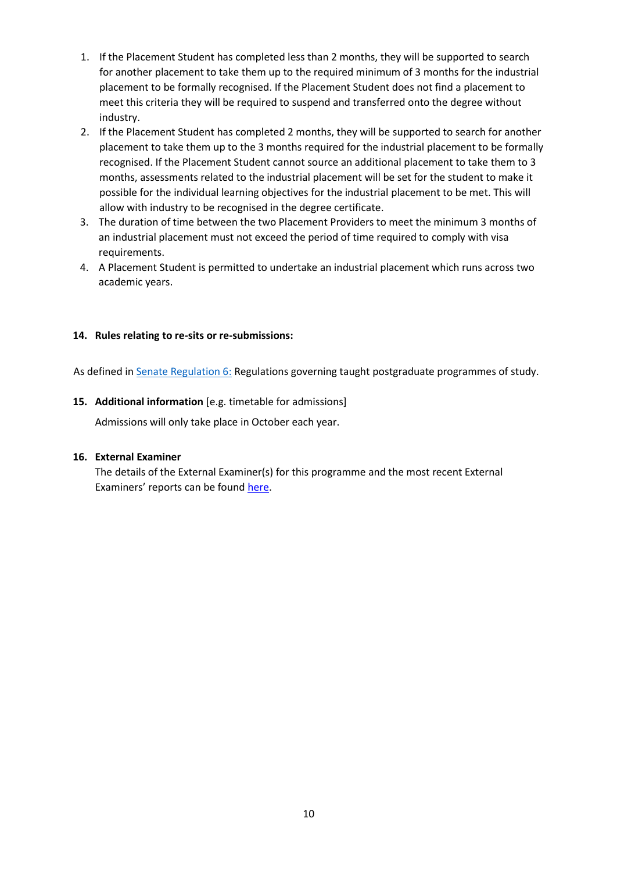- 1. If the Placement Student has completed less than 2 months, they will be supported to search for another placement to take them up to the required minimum of 3 months for the industrial placement to be formally recognised. If the Placement Student does not find a placement to meet this criteria they will be required to suspend and transferred onto the degree without industry.
- 2. If the Placement Student has completed 2 months, they will be supported to search for another placement to take them up to the 3 months required for the industrial placement to be formally recognised. If the Placement Student cannot source an additional placement to take them to 3 months, assessments related to the industrial placement will be set for the student to make it possible for the individual learning objectives for the industrial placement to be met. This will allow with industry to be recognised in the degree certificate.
- 3. The duration of time between the two Placement Providers to meet the minimum 3 months of an industrial placement must not exceed the period of time required to comply with visa requirements.
- 4. A Placement Student is permitted to undertake an industrial placement which runs across two academic years.

# **14. Rules relating to re-sits or re-submissions:**

As defined i[n Senate Regulation 6:](http://www.le.ac.uk/senate-regulation6) Regulations governing taught postgraduate programmes of study.

#### **15. Additional information** [e.g. timetable for admissions]

Admissions will only take place in October each year.

#### **16. External Examiner**

The details of the External Examiner(s) for this programme and the most recent External Examiners' reports can be found [here.](https://exampapers.le.ac.uk/xmlui/handle/123456789/214)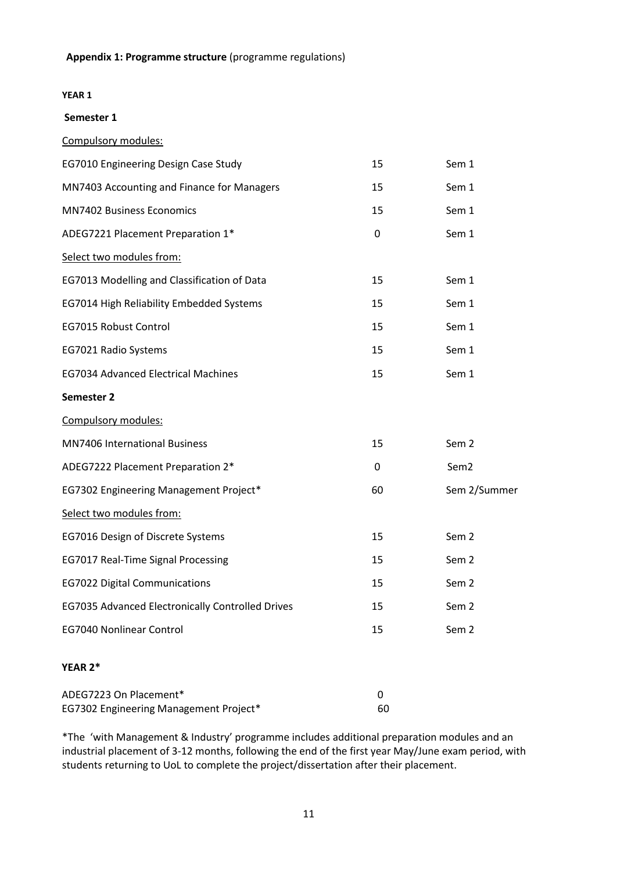#### **YEAR 1**

#### **Semester 1**

|  | Compulsory modules: |  |  |
|--|---------------------|--|--|
|--|---------------------|--|--|

| EG7010 Engineering Design Case Study             | 15 | Sem 1            |
|--------------------------------------------------|----|------------------|
| MN7403 Accounting and Finance for Managers       | 15 | Sem 1            |
| <b>MN7402 Business Economics</b>                 | 15 | Sem 1            |
| ADEG7221 Placement Preparation 1*                | 0  | Sem 1            |
| Select two modules from:                         |    |                  |
| EG7013 Modelling and Classification of Data      | 15 | Sem 1            |
| EG7014 High Reliability Embedded Systems         | 15 | Sem 1            |
| EG7015 Robust Control                            | 15 | Sem 1            |
| EG7021 Radio Systems                             | 15 | Sem 1            |
| <b>EG7034 Advanced Electrical Machines</b>       | 15 | Sem 1            |
| Semester 2                                       |    |                  |
| Compulsory modules:                              |    |                  |
| MN7406 International Business                    | 15 | Sem <sub>2</sub> |
| ADEG7222 Placement Preparation 2*                | 0  | Sem <sub>2</sub> |
| EG7302 Engineering Management Project*           | 60 | Sem 2/Summer     |
| Select two modules from:                         |    |                  |
| EG7016 Design of Discrete Systems                | 15 | Sem <sub>2</sub> |
| EG7017 Real-Time Signal Processing               | 15 | Sem <sub>2</sub> |
| <b>EG7022 Digital Communications</b>             | 15 | Sem <sub>2</sub> |
| EG7035 Advanced Electronically Controlled Drives | 15 | Sem <sub>2</sub> |
| <b>EG7040 Nonlinear Control</b>                  | 15 | Sem <sub>2</sub> |
| YEAR 2*                                          |    |                  |
| ADEG7223 On Placement*                           | 0  |                  |

\*The 'with Management & Industry' programme includes additional preparation modules and an industrial placement of 3-12 months, following the end of the first year May/June exam period, with students returning to UoL to complete the project/dissertation after their placement.

EG7302 Engineering Management Project\* 60